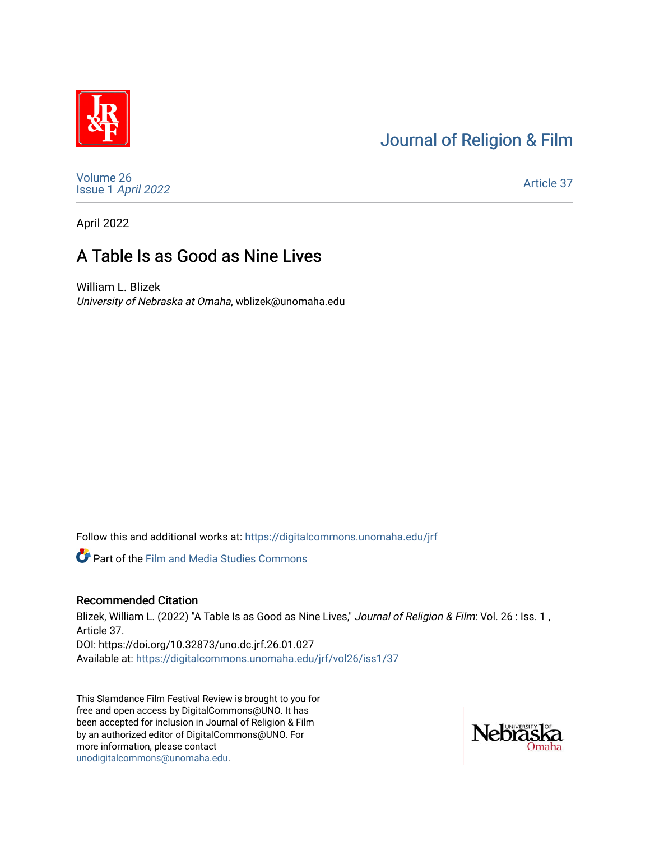# [Journal of Religion & Film](https://digitalcommons.unomaha.edu/jrf)



[Volume 26](https://digitalcommons.unomaha.edu/jrf/vol26) Issue 1 [April 2022](https://digitalcommons.unomaha.edu/jrf/vol26/iss1) 

[Article 37](https://digitalcommons.unomaha.edu/jrf/vol26/iss1/37) 

April 2022

# A Table Is as Good as Nine Lives

William L. Blizek University of Nebraska at Omaha, wblizek@unomaha.edu

Follow this and additional works at: [https://digitalcommons.unomaha.edu/jrf](https://digitalcommons.unomaha.edu/jrf?utm_source=digitalcommons.unomaha.edu%2Fjrf%2Fvol26%2Fiss1%2F37&utm_medium=PDF&utm_campaign=PDFCoverPages)

Part of the [Film and Media Studies Commons](http://network.bepress.com/hgg/discipline/563?utm_source=digitalcommons.unomaha.edu%2Fjrf%2Fvol26%2Fiss1%2F37&utm_medium=PDF&utm_campaign=PDFCoverPages) 

## Recommended Citation

Blizek, William L. (2022) "A Table Is as Good as Nine Lives," Journal of Religion & Film: Vol. 26 : Iss. 1, Article 37. DOI: https://doi.org/10.32873/uno.dc.jrf.26.01.027 Available at: [https://digitalcommons.unomaha.edu/jrf/vol26/iss1/37](https://digitalcommons.unomaha.edu/jrf/vol26/iss1/37?utm_source=digitalcommons.unomaha.edu%2Fjrf%2Fvol26%2Fiss1%2F37&utm_medium=PDF&utm_campaign=PDFCoverPages) 

This Slamdance Film Festival Review is brought to you for free and open access by DigitalCommons@UNO. It has been accepted for inclusion in Journal of Religion & Film by an authorized editor of DigitalCommons@UNO. For more information, please contact [unodigitalcommons@unomaha.edu.](mailto:unodigitalcommons@unomaha.edu)

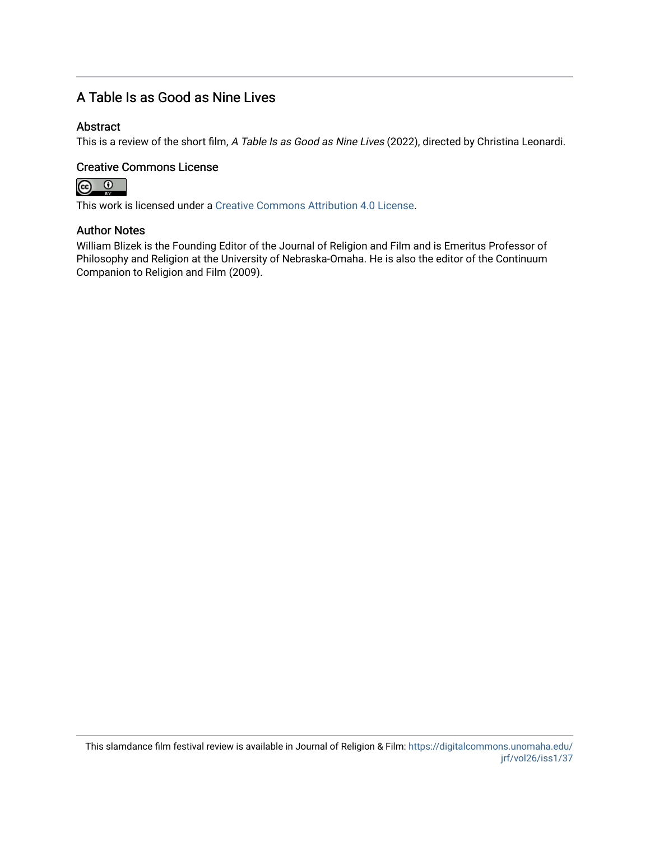## A Table Is as Good as Nine Lives

## Abstract

This is a review of the short film, A Table Is as Good as Nine Lives (2022), directed by Christina Leonardi.

### Creative Commons License



This work is licensed under a [Creative Commons Attribution 4.0 License](https://creativecommons.org/licenses/by/4.0/).

#### Author Notes

William Blizek is the Founding Editor of the Journal of Religion and Film and is Emeritus Professor of Philosophy and Religion at the University of Nebraska-Omaha. He is also the editor of the Continuum Companion to Religion and Film (2009).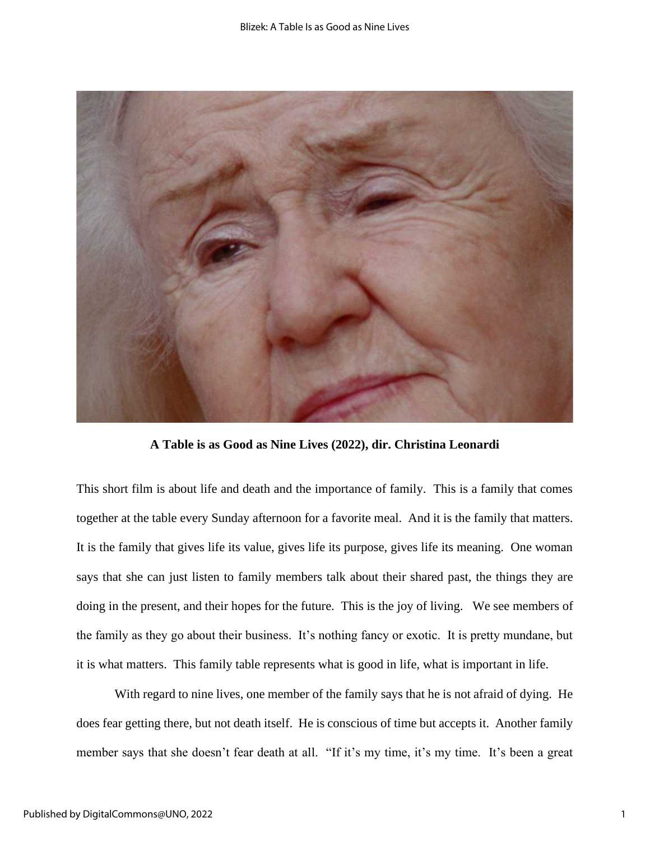

**A Table is as Good as Nine Lives (2022), dir. Christina Leonardi**

This short film is about life and death and the importance of family. This is a family that comes together at the table every Sunday afternoon for a favorite meal. And it is the family that matters. It is the family that gives life its value, gives life its purpose, gives life its meaning. One woman says that she can just listen to family members talk about their shared past, the things they are doing in the present, and their hopes for the future. This is the joy of living. We see members of the family as they go about their business. It's nothing fancy or exotic. It is pretty mundane, but it is what matters. This family table represents what is good in life, what is important in life.

With regard to nine lives, one member of the family says that he is not afraid of dying. He does fear getting there, but not death itself. He is conscious of time but accepts it. Another family member says that she doesn't fear death at all. "If it's my time, it's my time. It's been a great